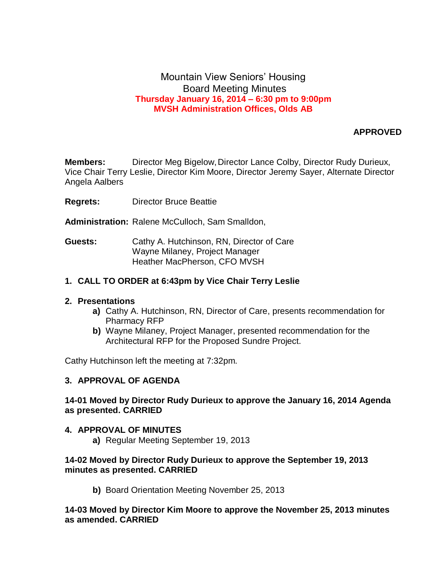# Mountain View Seniors' Housing Board Meeting Minutes **Thursday January 16, 2014 – 6:30 pm to 9:00pm MVSH Administration Offices, Olds AB**

## **APPROVED**

**Members:** Director Meg Bigelow, Director Lance Colby, Director Rudy Durieux, Vice Chair Terry Leslie, Director Kim Moore, Director Jeremy Sayer, Alternate Director Angela Aalbers

- **Regrets:** Director Bruce Beattie
- **Administration:** Ralene McCulloch, Sam Smalldon,
- **Guests:** Cathy A. Hutchinson, RN, Director of Care Wayne Milaney, Project Manager Heather MacPherson, CFO MVSH

### **1. CALL TO ORDER at 6:43pm by Vice Chair Terry Leslie**

#### **2. Presentations**

- **a)** Cathy A. Hutchinson, RN, Director of Care, presents recommendation for Pharmacy RFP
- **b)** Wayne Milaney, Project Manager, presented recommendation for the Architectural RFP for the Proposed Sundre Project.

Cathy Hutchinson left the meeting at 7:32pm.

#### **3. APPROVAL OF AGENDA**

### **14-01 Moved by Director Rudy Durieux to approve the January 16, 2014 Agenda as presented. CARRIED**

#### **4. APPROVAL OF MINUTES**

**a)** Regular Meeting September 19, 2013

### **14-02 Moved by Director Rudy Durieux to approve the September 19, 2013 minutes as presented. CARRIED**

**b)** Board Orientation Meeting November 25, 2013

**14-03 Moved by Director Kim Moore to approve the November 25, 2013 minutes as amended. CARRIED**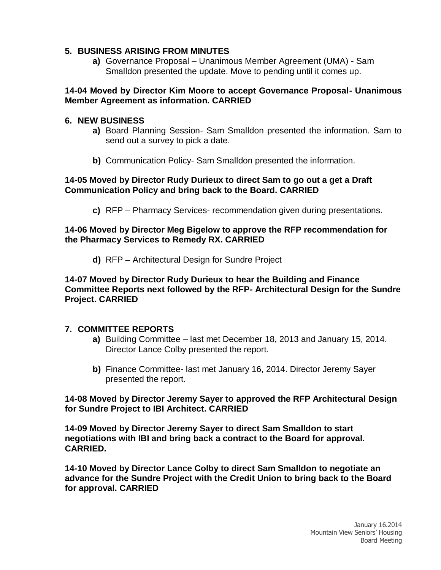# **5. BUSINESS ARISING FROM MINUTES**

**a)** Governance Proposal – Unanimous Member Agreement (UMA) - Sam Smalldon presented the update. Move to pending until it comes up.

## **14-04 Moved by Director Kim Moore to accept Governance Proposal- Unanimous Member Agreement as information. CARRIED**

## **6. NEW BUSINESS**

- **a)** Board Planning Session- Sam Smalldon presented the information. Sam to send out a survey to pick a date.
- **b)** Communication Policy- Sam Smalldon presented the information.

# **14-05 Moved by Director Rudy Durieux to direct Sam to go out a get a Draft Communication Policy and bring back to the Board. CARRIED**

**c)** RFP – Pharmacy Services- recommendation given during presentations.

## **14-06 Moved by Director Meg Bigelow to approve the RFP recommendation for the Pharmacy Services to Remedy RX. CARRIED**

**d)** RFP – Architectural Design for Sundre Project

### **14-07 Moved by Director Rudy Durieux to hear the Building and Finance Committee Reports next followed by the RFP- Architectural Design for the Sundre Project. CARRIED**

### **7. COMMITTEE REPORTS**

- **a)** Building Committee last met December 18, 2013 and January 15, 2014. Director Lance Colby presented the report.
- **b)** Finance Committee- last met January 16, 2014. Director Jeremy Sayer presented the report.

**14-08 Moved by Director Jeremy Sayer to approved the RFP Architectural Design for Sundre Project to IBI Architect. CARRIED**

**14-09 Moved by Director Jeremy Sayer to direct Sam Smalldon to start negotiations with IBI and bring back a contract to the Board for approval. CARRIED.**

**14-10 Moved by Director Lance Colby to direct Sam Smalldon to negotiate an advance for the Sundre Project with the Credit Union to bring back to the Board for approval. CARRIED**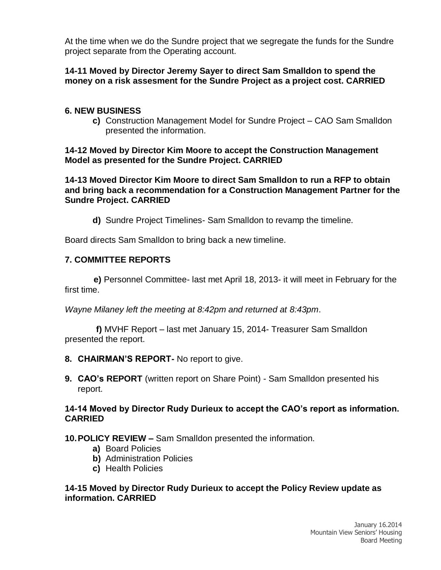At the time when we do the Sundre project that we segregate the funds for the Sundre project separate from the Operating account.

# **14-11 Moved by Director Jeremy Sayer to direct Sam Smalldon to spend the money on a risk assesment for the Sundre Project as a project cost. CARRIED**

# **6. NEW BUSINESS**

**c)** Construction Management Model for Sundre Project – CAO Sam Smalldon presented the information.

# **14-12 Moved by Director Kim Moore to accept the Construction Management Model as presented for the Sundre Project. CARRIED**

**14-13 Moved Director Kim Moore to direct Sam Smalldon to run a RFP to obtain and bring back a recommendation for a Construction Management Partner for the Sundre Project. CARRIED**

**d)** Sundre Project Timelines- Sam Smalldon to revamp the timeline.

Board directs Sam Smalldon to bring back a new timeline.

# **7. COMMITTEE REPORTS**

 **e)** Personnel Committee- last met April 18, 2013- it will meet in February for the first time.

*Wayne Milaney left the meeting at 8:42pm and returned at 8:43pm*.

 **f)** MVHF Report – last met January 15, 2014- Treasurer Sam Smalldon presented the report.

- **8. CHAIRMAN'S REPORT-** No report to give.
- **9. CAO's REPORT** (written report on Share Point) Sam Smalldon presented his report.

# **14-14 Moved by Director Rudy Durieux to accept the CAO's report as information. CARRIED**

# **10.POLICY REVIEW –** Sam Smalldon presented the information.

- **a)** Board Policies
- **b)** Administration Policies
- **c)** Health Policies

## **14-15 Moved by Director Rudy Durieux to accept the Policy Review update as information. CARRIED**